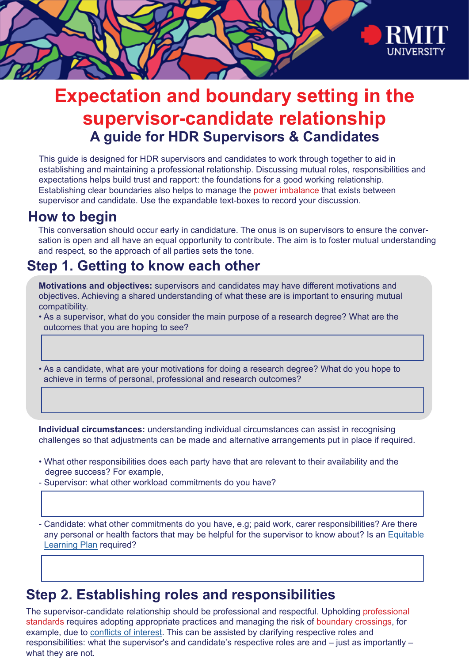

# **Expectation and boundary setting in the supervisor-candidate relationship A guide for HDR Supervisors & Candidates**

This guide is designed for HDR supervisors and candidates to work through together to aid in establishing and maintaining a professional relationship. Discussing mutual roles, responsibilities and expectations helps build trust and rapport: the foundations for a good working relationship. Establishing clear boundaries also helps to manage the power imbalance that exists between supervisor and candidate. Use the expandable text-boxes to record your discussion.

### **How to begin**

This conversation should occur early in candidature. The onus is on supervisors to ensure the conversation is open and all have an equal opportunity to contribute. The aim is to foster mutual understanding and respect, so the approach of all parties sets the tone.

### **Step 1. Getting to know each other**

**Motivations and objectives:** supervisors and candidates may have different motivations and objectives. Achieving a shared understanding of what these are is important to ensuring mutual compatibility.

• As a supervisor, what do you consider the main purpose of a research degree? What are the outcomes that you are hoping to see?

• As a candidate, what are your motivations for doing a research degree? What do you hope to achieve in terms of personal, professional and research outcomes?

**Individual circumstances:** understanding individual circumstances can assist in recognising challenges so that adjustments can be made and alternative arrangements put in place if required.

- What other responsibilities does each party have that are relevant to their availability and the degree success? For example,
- Supervisor: what other workload commitments do you have?

- Candidate: what other commitments do you have, e.g; paid work, carer responsibilities? Are there any personal or health factors that may be helpful for the supervisor to know about? Is an [Equitable](https://www.rmit.edu.au/students/support-and-facilities/student-support/equitable-learning-services) [Learning Plan](https://www.rmit.edu.au/students/support-and-facilities/student-support/equitable-learning-services) required?

## **Step 2. Establishing roles and responsibilities**

The supervisor-candidate relationship should be professional and respectful. Upholding professional standards requires adopting appropriate practices and managing the risk of boundary crossings, for example, due to [conflicts of interest](https://policies.rmit.edu.au/document/view.php?id=91). This can be assisted by clarifying respective roles and responsibilities: what the supervisor's and candidate's respective roles are and – just as importantly – what they are not.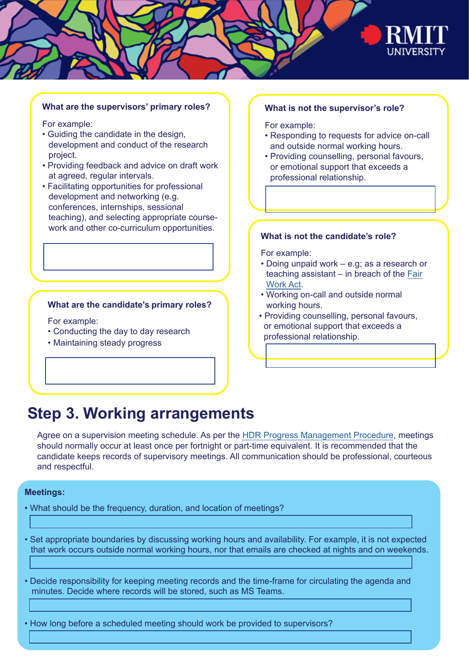

### **What are the supervisors' primary roles?**

For example:

- Guiding the candidate in the design, development and conduct of the research project.
- Providing feedback and advice on draft work at agreed, regular intervals.
- Facilitating opportunities for professional development and networking (e.g. conferences, internships, sessional teaching), and selecting appropriate coursework and other co-curriculum opportunities.

### **What are the candidate's primary roles?**

For example:

- Conducting the day to day research
- Maintaining steady progress

#### **What is not the supervisor's role?**

For example:

- Responding to requests for advice on-call and outside [normal working hours.](https://policies.rmit.edu.au/document/view.php?id=89)
- Providing counselling, personal favours, or emotional support that exceeds a professional relationship.

#### **What is not the candidate's role?**

For example:

- Doing unpaid work e.g; as a research or teaching assistant – in breach of the [Fair](https://www.fairwork.gov.au/about-us/legislation/the-fair-work-system) [Work Act](https://www.fairwork.gov.au/about-us/legislation/the-fair-work-system).
- Working on-call and outside [normal](https://policies.rmit.edu.au/document/view.php?id=89) working hours.
- Providing counselling, personal favours, or emotional support that exceeds a professional relationship.

### **Step 3. Working arrangements**

Agree on a supervision meeting schedule. As per the [HDR Progress Management Procedure,](https://www.rmit.edu.au/about/governance-and-management/policies/hdr/progress-management-procedure) meetings should normally occur at least once per fortnight or part-time equivalent. It is recommended that the candidate keeps records of supervisory meetings. All communication should be professional, courteous and respectful.

#### **Meetings:**

• What should be the frequency, duration, and location of meetings?

• Set appropriate boundaries by discussing working hours and availability. For example, it is not expected that work occurs outside normal working hours, nor that emails are checked at nights and on weekends.

• Decide responsibility for keeping meeting records and the time-frame for circulating the agenda and minutes. Decide where records will be stored, such as MS Teams.

• How long before a scheduled meeting should work be provided to supervisors?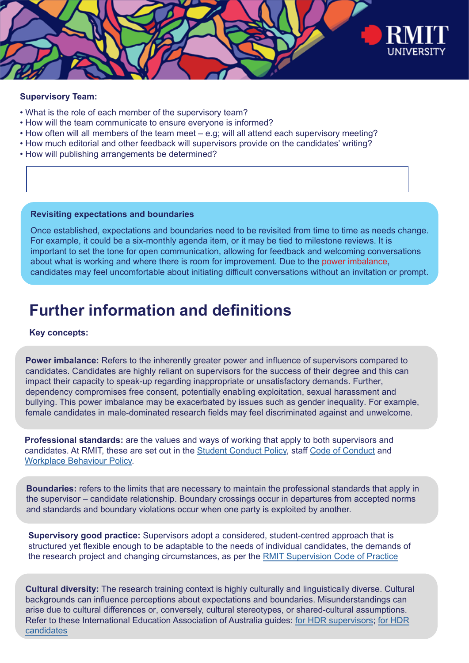

### **Supervisory Team:**

- What is the role of each member of the supervisory team?
- How will the team communicate to ensure everyone is informed?
- How often will all members of the team meet e.g; will all attend each supervisory meeting?
- How much editorial and other feedback will supervisors provide on the candidates' writing?
- How will publishing arrangements be determined?

### **Revisiting expectations and boundaries**

Once established, expectations and boundaries need to be revisited from time to time as needs change. For example, it could be a six-monthly agenda item, or it may be tied to milestone reviews. It is important to set the tone for open communication, allowing for feedback and welcoming conversations about what is working and where there is room for improvement. Due to the power imbalance, candidates may feel uncomfortable about initiating difficult conversations without an invitation or prompt.

## **Further information and definitions**

### **Key concepts:**

**Power imbalance:** Refers to the inherently greater power and influence of supervisors compared to candidates. Candidates are highly reliant on supervisors for the success of their degree and this can impact their capacity to speak-up regarding inappropriate or unsatisfactory demands. Further, dependency compromises free consent, potentially enabling exploitation, sexual harassment and bullying. This power imbalance may be exacerbated by issues such as gender inequality. For example, female candidates in male-dominated research fields may feel discriminated against and unwelcome.

**Professional standards:** are the values and ways of working that apply to both supervisors and candidates. At RMIT, these are set out in the [Student Conduct Policy](https://policies.rmit.edu.au/document/view.php?id=35), staff [Code of Conduct](https://policies.rmit.edu.au/document/view.php?id=52) and [Workplace Behaviour Policy](https://policies.rmit.edu.au/document/view.php?id=122#major2).

**Boundaries:** refers to the limits that are necessary to maintain the professional standards that apply in the supervisor – candidate relationship. Boundary crossings occur in departures from accepted norms and standards and boundary violations occur when one party is exploited by another.

**Supervisory good practice:** Supervisors adopt a considered, student-centred approach that is structured yet flexible enough to be adaptable to the needs of individual candidates, the demands of the research project and changing circumstances, as per the [RMIT Supervision Code of Practice](https://policies.rmit.edu.au/document/view.php?id=20)

**Cultural diversity:** The research training context is highly culturally and linguistically diverse. Cultural backgrounds can influence perceptions about expectations and boundaries. Misunderstandings can arise due to cultural differences or, conversely, cultural stereotypes, or shared-cultural assumptions. Refer to these [International Education Association of Australia guides: f](https://www.ieaa.org.au/documents/item/1038)[or HDR supervisors](https://www.ieaa.org.au/documents/item/1039)[; for HDR](https://www.ieaa.org.au/documents/item/1038)  candidates